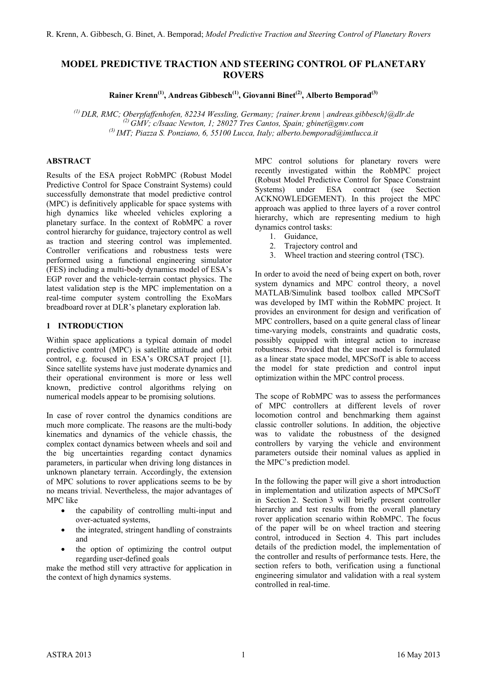# **MODEL PREDICTIVE TRACTION AND STEERING CONTROL OF PLANETARY ROVERS**

Rainer Krenn<sup>(1)</sup>, Andreas Gibbesch<sup>(1)</sup>, Giovanni Binet<sup>(2)</sup>, Alberto Bemporad<sup>(3)</sup>

*(1) DLR, RMC; Oberpfaffenhofen, 82234 Wessling, Germany; {rainer.krenn | andreas.gibbesch}@dlr.de (2) GMV; c/Isaac Newton, 1; 28027 Tres Cantos, Spain; gbinet@gmv.com (3) IMT; Piazza S. Ponziano, 6, 55100 Lucca, Italy; alberto.bemporad@imtlucca.it*

### **ABSTRACT**

Results of the ESA project RobMPC (Robust Model Predictive Control for Space Constraint Systems) could successfully demonstrate that model predictive control (MPC) is definitively applicable for space systems with high dynamics like wheeled vehicles exploring a planetary surface. In the context of RobMPC a rover control hierarchy for guidance, trajectory control as well as traction and steering control was implemented. Controller verifications and robustness tests were performed using a functional engineering simulator (FES) including a multi-body dynamics model of ESA's EGP rover and the vehicle-terrain contact physics. The latest validation step is the MPC implementation on a real-time computer system controlling the ExoMars breadboard rover at DLR's planetary exploration lab.

#### **1 INTRODUCTION**

Within space applications a typical domain of model predictive control (MPC) is satellite attitude and orbit control, e.g. focused in ESA's ORCSAT project [1]. Since satellite systems have just moderate dynamics and their operational environment is more or less well known, predictive control algorithms relying on numerical models appear to be promising solutions.

In case of rover control the dynamics conditions are much more complicate. The reasons are the multi-body kinematics and dynamics of the vehicle chassis, the complex contact dynamics between wheels and soil and the big uncertainties regarding contact dynamics parameters, in particular when driving long distances in unknown planetary terrain. Accordingly, the extension of MPC solutions to rover applications seems to be by no means trivial. Nevertheless, the major advantages of MPC like

- the capability of controlling multi-input and over-actuated systems,
- the integrated, stringent handling of constraints and
- the option of optimizing the control output regarding user-defined goals

make the method still very attractive for application in the context of high dynamics systems.

MPC control solutions for planetary rovers were recently investigated within the RobMPC project (Robust Model Predictive Control for Space Constraint Systems) under ESA contract (see Section ACKNOWLEDGEMENT). In this project the MPC approach was applied to three layers of a rover control hierarchy, which are representing medium to high dynamics control tasks:

- 1. Guidance,
- 2. Trajectory control and
- 3. Wheel traction and steering control (TSC).

In order to avoid the need of being expert on both, rover system dynamics and MPC control theory, a novel MATLAB/Simulink based toolbox called MPCSofT was developed by IMT within the RobMPC project. It provides an environment for design and verification of MPC controllers, based on a quite general class of linear time-varying models, constraints and quadratic costs, possibly equipped with integral action to increase robustness. Provided that the user model is formulated as a linear state space model, MPCSofT is able to access the model for state prediction and control input optimization within the MPC control process.

The scope of RobMPC was to assess the performances of MPC controllers at different levels of rover locomotion control and benchmarking them against classic controller solutions. In addition, the objective was to validate the robustness of the designed controllers by varying the vehicle and environment parameters outside their nominal values as applied in the MPC's prediction model.

In the following the paper will give a short introduction in implementation and utilization aspects of MPCSofT in Section 2. Section 3 will briefly present controller hierarchy and test results from the overall planetary rover application scenario within RobMPC. The focus of the paper will be on wheel traction and steering control, introduced in Section [4.](#page-3-0) This part includes details of the prediction model, the implementation of the controller and results of performance tests. Here, the section refers to both, verification using a functional engineering simulator and validation with a real system controlled in real-time.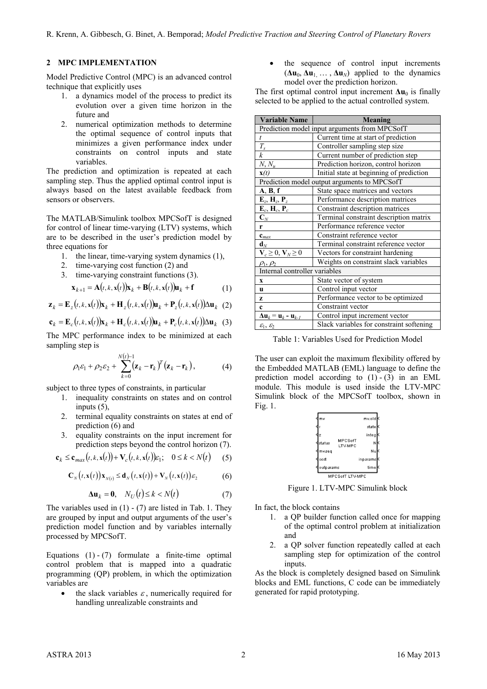#### <span id="page-1-6"></span>**2 MPC IMPLEMENTATION**

Model Predictive Control (MPC) is an advanced control technique that explicitly uses

- 1. a dynamics model of the process to predict its evolution over a given time horizon in the future and
- 2. numerical optimization methods to determine the optimal sequence of control inputs that minimizes a given performance index under constraints on control inputs and state variables.

The prediction and optimization is repeated at each sampling step. Thus the applied optimal control input is always based on the latest available feedback from sensors or observers.

The MATLAB/Simulink toolbox MPCSofT is designed for control of linear time-varying (LTV) systems, which are to be described in the user's prediction model by three equations for

- 1. the linear, time-varying system dynamics [\(1\),](#page-1-0)
- 2. time-varying cost function  $(2)$  and<br>3 time-varying constraint functions  $(2)$

3. time-varying constraint functions [\(3\).](#page-1-2)

$$
\mathbf{x}_{k+1} = \mathbf{A}(t, k, \mathbf{x}(t))\mathbf{x}_k + \mathbf{B}(t, k, \mathbf{x}(t))\mathbf{u}_k + \mathbf{f}
$$
 (1)

 $\mathbf{z}_k = \mathbf{E}_z(t, k, \mathbf{x}(t))\mathbf{x}_k + \mathbf{H}_z(t, k, \mathbf{x}(t))\mathbf{u}_k + \mathbf{P}_z(t, k, \mathbf{x}(t))\Delta \mathbf{u}_k$  (2)

$$
\mathbf{c}_k = \mathbf{E}_c(t, k, \mathbf{x}(t))\mathbf{x}_k + \mathbf{H}_c(t, k, \mathbf{x}(t))\mathbf{u}_k + \mathbf{P}_c(t, k, \mathbf{x}(t))\Delta\mathbf{u}_k \tag{3}
$$

The MPC performance index to be minimized at each sampling step is

$$
\rho_1 \varepsilon_1 + \rho_2 \varepsilon_2 + \sum_{k=0}^{N(t)-1} (\mathbf{z}_k - \mathbf{r}_k)^T (\mathbf{z}_k - \mathbf{r}_k), \tag{4}
$$

subject to three types of constraints, in particular

- 1. inequality constraints on states and on control inputs [\(5\),](#page-1-3)
- 2. terminal equality constraints on states at end of predictio[n \(6\)](#page-1-4) and
- 3. equality constraints on the input increment for prediction steps beyond the control horizon (7).

$$
\mathbf{c}_k \le \mathbf{c}_{max}(t, k, \mathbf{x}(t)) + \mathbf{V}_c(t, k, \mathbf{x}(t)) \varepsilon_1; \quad 0 \le k < N(t) \tag{5}
$$

$$
\mathbf{C}_N(t, \mathbf{x}(t))\mathbf{x}_{N(t)} \leq \mathbf{d}_N(t, \mathbf{x}(t)) + \mathbf{V}_N(t, \mathbf{x}(t))\varepsilon_2 \tag{6}
$$

$$
\Delta \mathbf{u}_k = \mathbf{0}, \quad N_U(t) \le k < N(t) \tag{7}
$$

The variables used in  $(1)$  -  $(7)$  are listed in Tab. 1. They are grouped by input and output arguments of the user's prediction model function and by variables internally processed by MPCSofT.

Equations  $(1) - (7)$  $(1) - (7)$  $(1) - (7)$  formulate a finite-time optimal control problem that is mapped into a quadratic programming (QP) problem, in which the optimization variables are

• the slack variables  $\varepsilon$ , numerically required for handling unrealizable constraints and

• the sequence of control input increments  $( \Delta u_0, \Delta u_1, \ldots, \Delta u_N )$  applied to the dynamics model over the prediction horizon.

The first optimal control input increment  $\Delta$ **u**<sub>0</sub> is finally selected to be applied to the actual controlled system.

| <b>Variable Name</b>                                        | Meaning                                  |  |
|-------------------------------------------------------------|------------------------------------------|--|
| Prediction model input arguments from MPCSofT               |                                          |  |
| t                                                           | Current time at start of prediction      |  |
| $\frac{T_s}{k}$                                             | Controller sampling step size            |  |
|                                                             | Current number of prediction step        |  |
| $N, N_u$                                                    | Prediction horizon, control horizon      |  |
| $\mathbf{x}(t)$                                             | Initial state at beginning of prediction |  |
| Prediction model output arguments to MPCSofT                |                                          |  |
| A, B, f                                                     | State space matrices and vectors         |  |
| $E_z$ , $H_z$ , $P_z$                                       | Performance description matrices         |  |
| $E_c$ , $H_c$ , $P_c$                                       | Constraint description matrices          |  |
| $\mathbf{C}_N$                                              | Terminal constraint description matrix   |  |
| r                                                           | Performance reference vector             |  |
| $\mathbf{c}_{\text{max}}$                                   | Constraint reference vector              |  |
| $\mathbf{d}_N$                                              | Terminal constraint reference vector     |  |
| $V_c \geq 0, V_N \geq 0$                                    | Vectors for constraint hardening         |  |
| $\rho_1, \rho_2$                                            | Weights on constraint slack variables    |  |
| Internal controller variables                               |                                          |  |
| $\mathbf x$                                                 | State vector of system                   |  |
| u                                                           | Control input vector                     |  |
| z                                                           | Performance vector to be optimized       |  |
| $\mathbf c$                                                 | Constraint vector                        |  |
| $\Delta$ u <sub>k</sub> = u <sub>k</sub> - u <sub>k-1</sub> | Control input increment vector           |  |
| $\varepsilon_1, \varepsilon_2$                              | Slack variables for constraint softening |  |

<span id="page-1-1"></span><span id="page-1-0"></span>Table 1: Variables Used for Prediction Model

<span id="page-1-7"></span><span id="page-1-2"></span>The user can exploit the maximum flexibility offered by the Embedded MATLAB (EML) language to define the prediction model according to  $(1) - (3)$  $(1) - (3)$  in an EML module. This module is used inside the LTV-MPC Simulink block of the MPCSofT toolbox, shown in Fig. 1.



Figure 1. LTV-MPC Simulink block

<span id="page-1-5"></span><span id="page-1-4"></span><span id="page-1-3"></span>In fact, the block contains

- 1. a QP builder function called once for mapping of the optimal control problem at initialization and
- 2. a QP solver function repeatedly called at each sampling step for optimization of the control inputs.

As the block is completely designed based on Simulink blocks and EML functions, C code can be immediately generated for rapid prototyping.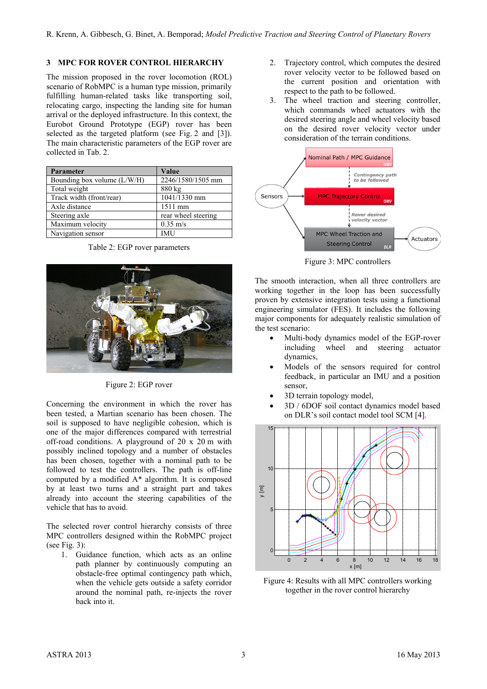### <span id="page-2-3"></span>**3 MPC FOR ROVER CONTROL HIERARCHY**

The mission proposed in the rover locomotion (ROL) scenario of RobMPC is a human type mission, primarily fulfilling human-related tasks like transporting soil, relocating cargo, inspecting the landing site for human arrival or the deployed infrastructure. In this context, the Eurobot Ground Prototype (EGP) rover has been selected as the targeted platform (see Fig. 2 and [\[3\]\)](#page-7-0). The main characteristic parameters of the EGP rover are collected in Tab. [2.](#page-2-0)

| Parameter                   | Value               |  |
|-----------------------------|---------------------|--|
| Bounding box volume (L/W/H) | 2246/1580/1505 mm   |  |
| Total weight                | 880 kg              |  |
| Track width (front/rear)    | 1041/1330 mm        |  |
| Axle distance               | 1511 mm             |  |
| Steering axle               | rear wheel steering |  |
| Maximum velocity            | $0.35 \text{ m/s}$  |  |
| Navigation sensor           | IMU                 |  |

<span id="page-2-0"></span>Table 2: EGP rover parameters



Figure 2: EGP rover

Concerning the environment in which the rover has been tested, a Martian scenario has been chosen. The soil is supposed to have negligible cohesion, which is one of the major differences compared with terrestrial off-road conditions. A playground of 20 x 20 m with possibly inclined topology and a number of obstacles has been chosen, together with a nominal path to be followed to test the controllers. The path is off-line computed by a modified A\* algorithm. It is composed by at least two turns and a straight part and takes already into account the steering capabilities of the vehicle that has to avoid.

The selected rover control hierarchy consists of three MPC controllers designed within the RobMPC project (see Fig. [3\)](#page-2-1):

1. Guidance function, which acts as an online path planner by continuously computing an obstacle-free optimal contingency path which, when the vehicle gets outside a safety corridor around the nominal path, re-injects the rover back into it.

- 2. Trajectory control, which computes the desired rover velocity vector to be followed based on the current position and orientation with respect to the path to be followed.
- 3. The wheel traction and steering controller, which commands wheel actuators with the desired steering angle and wheel velocity based on the desired rover velocity vector under consideration of the terrain conditions.



<span id="page-2-1"></span>Figure 3: MPC controllers

The smooth interaction, when all three controllers are working together in the loop has been successfully proven by extensive integration tests using a functional engineering simulator (FES). It includes the following major components for adequately realistic simulation of the test scenario:

- Multi-body dynamics model of the EGP-rover including wheel and steering actuator dynamics,
- Models of the sensors required for control feedback, in particular an IMU and a position sensor,
- 3D terrain topology model,
- 3D / 6DOF soil contact dynamics model based on DLR's soil contact model tool SCM [\[4\].](#page-7-1)



<span id="page-2-2"></span>Figure 4: Results with all MPC controllers working together in the rover control hierarchy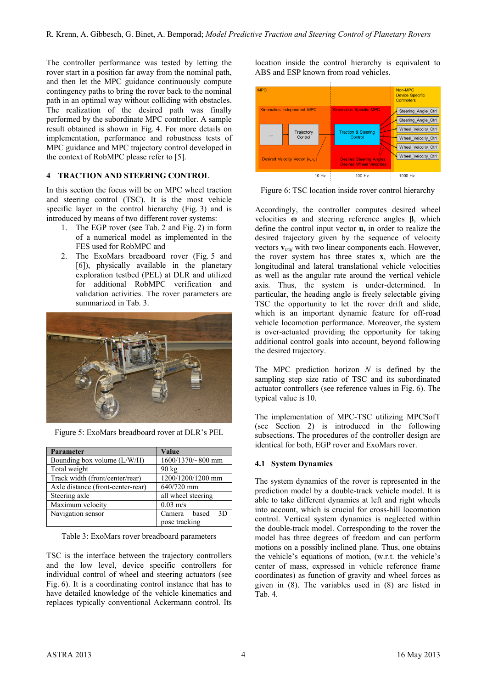The controller performance was tested by letting the rover start in a position far away from the nominal path, and then let the MPC guidance continuously compute contingency paths to bring the rover back to the nominal path in an optimal way without colliding with obstacles. The realization of the desired path was finally performed by the subordinate MPC controller. A sample result obtained is shown in Fig. [4.](#page-2-2) For more details on implementation, performance and robustness tests of MPC guidance and MPC trajectory control developed in the context of RobMPC please refer t[o \[5\].](#page-7-2)

## <span id="page-3-0"></span>**4 TRACTION AND STEERING CONTROL**

In this section the focus will be on MPC wheel traction and steering control (TSC). It is the most vehicle specific layer in the control hierarchy (Fig. [3\)](#page-2-1) and is introduced by means of two different rover systems:

- 1. The EGP rover (see Tab. [2](#page-2-0) and Fig. 2) in form of a numerical model as implemented in the FES used for RobMPC and
- 2. The ExoMars breadboard rover (Fig. [5](#page-3-1) and [\[6\]\)](#page-7-3), physically available in the planetary exploration testbed (PEL) at DLR and utilized for additional RobMPC verification and validation activities. The rover parameters are summarized in Tab. [3.](#page-3-2)



Figure 5: ExoMars breadboard rover at DLR's PEL

<span id="page-3-1"></span>

| Parameter                              | Value                          |  |  |  |
|----------------------------------------|--------------------------------|--|--|--|
| Bounding box volume (L/W/H)            | 1600/1370/~800 mm              |  |  |  |
| Total weight                           | $90 \text{ kg}$                |  |  |  |
| Track width (front/center/rear)        | $\overline{1200}/1200/1200$ mm |  |  |  |
| Axle distance (front-center-rear)      | 640/720 mm                     |  |  |  |
| Steering axle                          | all wheel steering             |  |  |  |
| Maximum velocity<br>$0.03 \text{ m/s}$ |                                |  |  |  |
| Navigation sensor                      | 3D<br>Camera based             |  |  |  |
|                                        | pose tracking                  |  |  |  |

<span id="page-3-2"></span>Table 3: ExoMars rover breadboard parameters

TSC is the interface between the trajectory controllers and the low level, device specific controllers for individual control of wheel and steering actuators (see Fig. [6\)](#page-3-3). It is a coordinating control instance that has to have detailed knowledge of the vehicle kinematics and replaces typically conventional Ackermann control. Its location inside the control hierarchy is equivalent to ABS and ESP known from road vehicles.



<span id="page-3-3"></span>Figure 6: TSC location inside rover control hierarchy

Accordingly, the controller computes desired wheel velocities **ω** and steering reference angles **β**, which define the control input vector **u,** in order to realize the desired trajectory given by the sequence of velocity vectors **v***traj* with two linear components each. However, the rover system has three states **x**, which are the longitudinal and lateral translational vehicle velocities as well as the angular rate around the vertical vehicle axis. Thus, the system is under-determined. In particular, the heading angle is freely selectable giving TSC the opportunity to let the rover drift and slide, which is an important dynamic feature for off-road vehicle locomotion performance. Moreover, the system is over-actuated providing the opportunity for taking additional control goals into account, beyond following the desired trajectory.

The MPC prediction horizon *N* is defined by the sampling step size ratio of TSC and its subordinated actuator controllers (see reference values in Fig. [6\)](#page-3-3). The typical value is 10.

The implementation of MPC-TSC utilizing MPCSofT (see Section [2\)](#page-1-6) is introduced in the following subsections. The procedures of the controller design are identical for both, EGP rover and ExoMars rover.

### **4.1 System Dynamics**

The system dynamics of the rover is represented in the prediction model by a double-track vehicle model. It is able to take different dynamics at left and right wheels into account, which is crucial for cross-hill locomotion control. Vertical system dynamics is neglected within the double-track model. Corresponding to the rover the model has three degrees of freedom and can perform motions on a possibly inclined plane. Thus, one obtains the vehicle's equations of motion, (w.r.t. the vehicle's center of mass, expressed in vehicle reference frame coordinates) as function of gravity and wheel forces as given in [\(8\).](#page-4-0) The variables used in [\(8\)](#page-4-0) are listed in Tab. [4.](#page-4-1)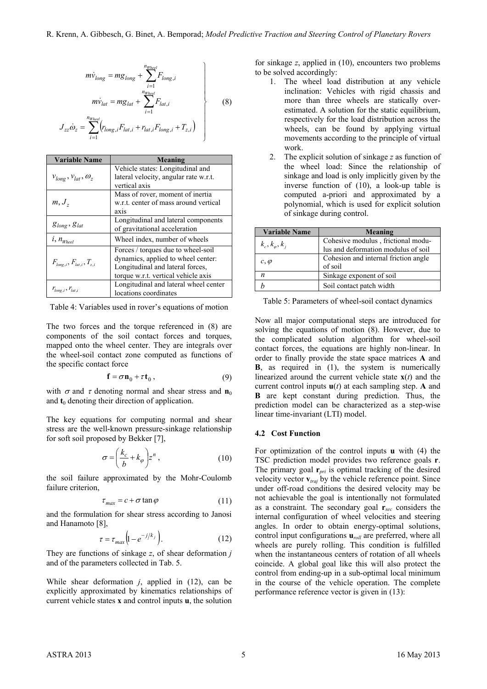<span id="page-4-0"></span> $\left| \right|$ 

J

$$
m\dot{v}_{long} = mg_{long} + \sum_{i=1}^{n_{Wheel}} F_{long,i}
$$

$$
m\dot{v}_{lat} = mg_{lat} + \sum_{i=1}^{n_{Whed}} F_{lat,i}
$$
(8)

$$
J_{zz}\dot{\omega}_z = \sum_{i=1}^{n_{Whed}} (r_{long,i}F_{lat,i} + r_{lat,i}F_{long,i} + T_{z,i})
$$

| <b>Variable Name</b>                | Meaning                               |
|-------------------------------------|---------------------------------------|
| $V_{long}$ , $V_{lat}$ , $\omega_z$ | Vehicle states: Longitudinal and      |
|                                     | lateral velocity, angular rate w.r.t. |
|                                     | vertical axis                         |
| $m, J_z$                            | Mass of rover, moment of inertia      |
|                                     | w.r.t. center of mass around vertical |
|                                     | axis                                  |
| $g_{long}$ , $g_{lat}$              | Longitudinal and lateral components   |
|                                     | of gravitational acceleration         |
| $i, n_{Wheel}$                      | Wheel index, number of wheels         |
| $F_{long,i}, F_{lat,i}, T_{z,i}$    | Forces / torques due to wheel-soil    |
|                                     | dynamics, applied to wheel center:    |
|                                     | Longitudinal and lateral forces,      |
|                                     | torque w.r.t. vertical vehicle axis   |
| $r_{long,i}, r_{lat,i}$             | Longitudinal and lateral wheel center |
|                                     | locations coordinates                 |

<span id="page-4-1"></span>Table 4: Variables used in rover's equations of motion

The two forces and the torque referenced in [\(8\)](#page-4-0) are components of the soil contact forces and torques, mapped onto the wheel center. They are integrals over the wheel-soil contact zone computed as functions of the specific contact force

$$
\mathbf{f} = \sigma \mathbf{n}_0 + \tau \mathbf{t}_0 , \qquad (9)
$$

with  $\sigma$  and  $\tau$  denoting normal and shear stress and **n**<sub>0</sub> and  $t_0$  denoting their direction of application.

The key equations for computing normal and shear stress are the well-known pressure-sinkage relationship for soft soil proposed by Bekker [\[7\],](#page-7-4)

$$
\sigma = \left(\frac{k_c}{b} + k_\varphi\right) z^n \,,\tag{10}
$$

the soil failure approximated by the Mohr-Coulomb failure criterion,

$$
\tau_{\text{max}} = c + \sigma \tan \varphi \tag{11}
$$

and the formulation for shear stress according to Janosi and Hanamoto [\[8\],](#page-7-5)

$$
\tau = \tau_{max} \left( 1 - e^{-j/k_j} \right). \tag{12}
$$

They are functions of sinkage *z*, of shear deformation *j* and of the parameters collected in Tab. [5.](#page-4-2)

While shear deformation *j*, applied in [\(12\),](#page-4-3) can be explicitly approximated by kinematics relationships of current vehicle states **x** and control inputs **u**, the solution for sinkage *z*, applied in [\(10\),](#page-4-4) encounters two problems to be solved accordingly:

- 1. The wheel load distribution at any vehicle inclination: Vehicles with rigid chassis and more than three wheels are statically overestimated. A solution for the static equilibrium, respectively for the load distribution across the wheels, can be found by applying virtual movements according to the principle of virtual work.
- 2. The explicit solution of sinkage *z* as function of the wheel load: Since the relationship of sinkage and load is only implicitly given by the inverse function of [\(10\),](#page-4-4) a look-up table is computed a-priori and approximated by a polynomial, which is used for explicit solution of sinkage during control.

| <b>Variable Name</b>  | Meaning                              |
|-----------------------|--------------------------------------|
| $k_c, k_\varphi, k_i$ | Cohesive modulus, frictional modu-   |
|                       | lus and deformation modulus of soil  |
| $c, \varphi$          | Cohesion and internal friction angle |
|                       | of soil                              |
| $\boldsymbol{n}$      | Sinkage exponent of soil             |
|                       | Soil contact patch width             |

<span id="page-4-2"></span>Table 5: Parameters of wheel-soil contact dynamics

Now all major computational steps are introduced for solving the equations of motion [\(8\).](#page-4-0) However, due to the complicated solution algorithm for wheel-soil contact forces, the equations are highly non-linear. In order to finally provide the state space matrices **A** and **B**, as required in [\(1\),](#page-1-0) the system is numerically linearized around the current vehicle state  $\mathbf{x}(t)$  and the current control inputs  $u(t)$  at each sampling step. **A** and **B** are kept constant during prediction. Thus, the prediction model can be characterized as a step-wise linear time-invariant (LTI) model.

#### **4.2 Cost Function**

<span id="page-4-4"></span><span id="page-4-3"></span>For optimization of the control inputs **u** with [\(4\)](#page-1-7) the TSC prediction model provides two reference goals **r**. The primary goal **r***pri* is optimal tracking of the desired velocity vector **v***traj* by the vehicle reference point. Since under off-road conditions the desired velocity may be not achievable the goal is intentionally not formulated as a constraint. The secondary goal **r***sec* considers the internal configuration of wheel velocities and steering angles. In order to obtain energy-optimal solutions, control input configurations  $\mathbf{u}_{rad}$  are preferred, where all wheels are purely rolling. This condition is fulfilled when the instantaneous centers of rotation of all wheels coincide. A global goal like this will also protect the control from ending-up in a sub-optimal local minimum in the course of the vehicle operation. The complete performance reference vector is given in [\(13\):](#page-5-0)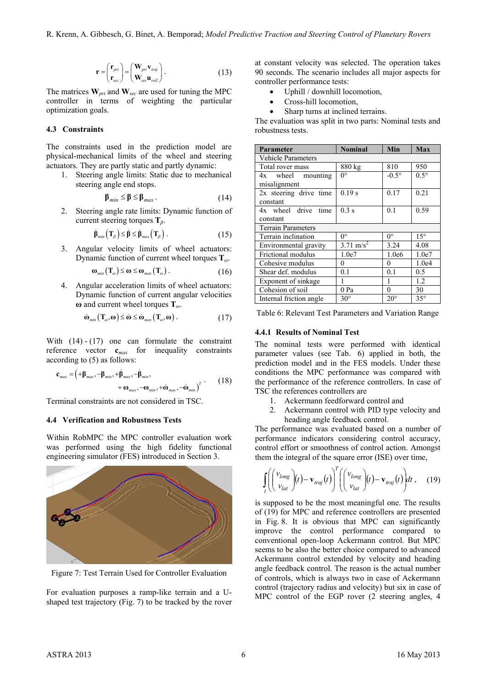$$
\mathbf{r} = \begin{pmatrix} \mathbf{r}_{pri} \\ \mathbf{r}_{sec} \end{pmatrix} = \begin{pmatrix} \mathbf{W}_{pri} \mathbf{v}_{traj} \\ \mathbf{W}_{sec} \mathbf{u}_{roll} \end{pmatrix} . \tag{13}
$$

The matrices **W***pri* and **W***sec* are used for tuning the MPC controller in terms of weighting the particular optimization goals.

### **4.3 Constraints**

The constraints used in the prediction model are physical-mechanical limits of the wheel and steering actuators. They are partly static and partly dynamic:

1. Steering angle limits: Static due to mechanical steering angle end stops.

$$
\beta_{\min} \le \beta \le \beta_{\max} \,. \tag{14}
$$

2. Steering angle rate limits: Dynamic function of current steering torques **T***β*.

$$
\dot{\boldsymbol{\beta}}_{\text{min}}\left(\mathbf{T}_{\beta}\right) \leq \dot{\boldsymbol{\beta}} \leq \dot{\boldsymbol{\beta}}_{\text{max}}\left(\mathbf{T}_{\beta}\right). \tag{15}
$$

3. Angular velocity limits of wheel actuators: Dynamic function of current wheel torques **T***ω*.

$$
\omega_{\min}(\mathbf{T}_{\omega}) \leq \omega \leq \omega_{\max}(\mathbf{T}_{\omega}). \tag{16}
$$

4. Angular acceleration limits of wheel actuators: Dynamic function of current angular velocities **ω** and current wheel torques **T***ω*.

$$
\dot{\boldsymbol{\omega}}_{\min}(\mathbf{T}_{\omega}, \boldsymbol{\omega}) \leq \dot{\boldsymbol{\omega}} \leq \dot{\boldsymbol{\omega}}_{\max}(\mathbf{T}_{\omega}, \boldsymbol{\omega}). \tag{17}
$$

With  $(14) - (17)$  $(14) - (17)$  $(14) - (17)$  one can formulate the constraint reference vector **c***max* for inequality constraints according to [\(5\)](#page-1-3) as follows:

$$
\mathbf{c}_{\max} = \left( +\mathbf{\beta}_{\max}, -\mathbf{\beta}_{\min}, +\dot{\mathbf{\beta}}_{\max}, -\dot{\mathbf{\beta}}_{\min}, -\dot{\mathbf{\beta}}_{\min}, +\dot{\mathbf{\omega}}_{\max}, -\dot{\mathbf{\omega}}_{\min}, +\dot{\mathbf{\omega}}_{\max}, -\dot{\mathbf{\omega}}_{\min} \right)^{T} \tag{18}
$$

Terminal constraints are not considered in TSC.

#### <span id="page-5-7"></span>**4.4 Verification and Robustness Tests**

Within RobMPC the MPC controller evaluation work was performed using the high fidelity functional engineering simulator (FES) introduced in Section [3.](#page-2-3)



Figure 7: Test Terrain Used for Controller Evaluation

<span id="page-5-3"></span>For evaluation purposes a ramp-like terrain and a Ushaped test trajectory (Fig. [7\)](#page-5-3) to be tracked by the rover

<span id="page-5-0"></span>at constant velocity was selected. The operation takes 90 seconds. The scenario includes all major aspects for controller performance tests:

- Uphill / downhill locomotion,
- Cross-hill locomotion,
- Sharp turns at inclined terrains.

The evaluation was split in two parts: Nominal tests and robustness tests.

<span id="page-5-1"></span>

| Parameter                 | <b>Nominal</b>       | Min            | Max          |  |
|---------------------------|----------------------|----------------|--------------|--|
| <b>Vehicle Parameters</b> |                      |                |              |  |
| Total rover mass          | 880 kg               | 810            | 950          |  |
| 4x wheel mounting         | $0^{\circ}$          | $-0.5^{\circ}$ | $0.5^\circ$  |  |
| misalignment              |                      |                |              |  |
| 2x steering drive time    | 0.19 s               | 0.17           | 0.21         |  |
| constant                  |                      |                |              |  |
| 4x wheel drive time       | 0.3 s                | 0.1            | 0.59         |  |
| constant                  |                      |                |              |  |
| <b>Terrain Parameters</b> |                      |                |              |  |
| Terrain inclination       | $0^{\circ}$          | $0^{\circ}$    | $15^\circ$   |  |
| Environmental gravity     | $3.71 \text{ m/s}^2$ | 3.24           | 4.08         |  |
| Frictional modulus        | 1.0e7                | 1.0e6          | 1.0e7        |  |
| Cohesive modulus          | 0                    | 0              | 1.0e4        |  |
| Shear def. modulus        | 0.1                  | 0.1            | 0.5          |  |
| Exponent of sinkage       | 1                    | 1              | 1.2          |  |
| Cohesion of soil          | 0 Pa                 | 0              | 30           |  |
| Internal friction angle   | $30^\circ$           | $20^{\circ}$   | $35^{\circ}$ |  |

<span id="page-5-4"></span><span id="page-5-2"></span>Table 6: Relevant Test Parameters and Variation Range

#### **4.4.1 Results of Nominal Test**

<span id="page-5-6"></span>The nominal tests were performed with identical parameter values (see Tab. [6\)](#page-5-4) applied in both, the prediction model and in the FES models. Under these conditions the MPC performance was compared with the performance of the reference controllers. In case of TSC the references controllers are

- 1. Ackermann feedforward control and
- 2. Ackermann control with PID type velocity and heading angle feedback control.

The performance was evaluated based on a number of performance indicators considering control accuracy, control effort or smoothness of control action. Amongst them the integral of the square error (ISE) over time,

<span id="page-5-5"></span>
$$
\int_{t}^{\infty} \left( \begin{pmatrix} v_{long} \\ v_{lat} \end{pmatrix} (t) - \mathbf{v}_{traj}(t) \right)^{T} \left( \begin{pmatrix} v_{long} \\ v_{lat} \end{pmatrix} (t) - \mathbf{v}_{traj}(t) \right) dt , \quad (19)
$$

is supposed to be the most meaningful one. The results of [\(19\)](#page-5-5) for MPC and reference controllers are presented in Fig. [8.](#page-6-0) It is obvious that MPC can significantly improve the control performance compared to conventional open-loop Ackermann control. But MPC seems to be also the better choice compared to advanced Ackermann control extended by velocity and heading angle feedback control. The reason is the actual number of controls, which is always two in case of Ackermann control (trajectory radius and velocity) but six in case of MPC control of the EGP rover (2 steering angles, 4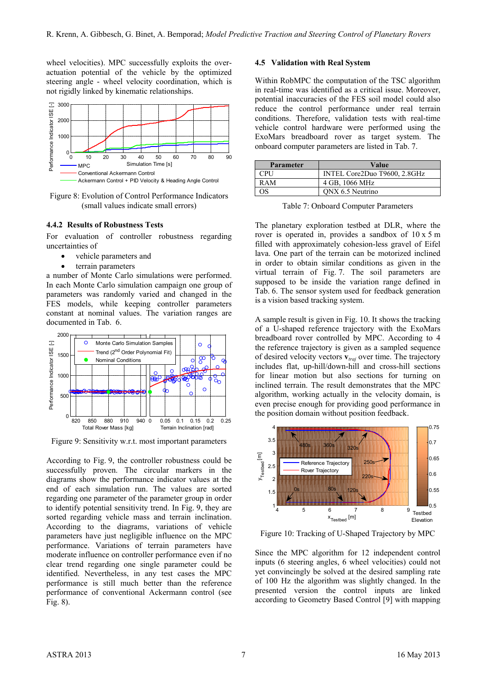wheel velocities). MPC successfully exploits the overactuation potential of the vehicle by the optimized steering angle - wheel velocity coordination, which is not rigidly linked by kinematic relationships.



<span id="page-6-0"></span>Figure 8: Evolution of Control Performance Indicators (small values indicate small errors)

#### **4.4.2 Results of Robustness Tests**

For evaluation of controller robustness regarding uncertainties of

- vehicle parameters and
- terrain parameters

a number of Monte Carlo simulations were performed. In each Monte Carlo simulation campaign one group of parameters was randomly varied and changed in the FES models, while keeping controller parameters constant at nominal values. The variation ranges are documented in Tab. [6.](#page-5-4)



<span id="page-6-1"></span>Figure 9: Sensitivity w.r.t. most important parameters

According to Fig. [9,](#page-6-1) the controller robustness could be successfully proven. The circular markers in the diagrams show the performance indicator values at the end of each simulation run. The values are sorted regarding one parameter of the parameter group in order to identify potential sensitivity trend. In Fig. [9,](#page-6-1) they are sorted regarding vehicle mass and terrain inclination. According to the diagrams, variations of vehicle parameters have just negligible influence on the MPC performance. Variations of terrain parameters have moderate influence on controller performance even if no clear trend regarding one single parameter could be identified. Nevertheless, in any test cases the MPC performance is still much better than the reference performance of conventional Ackermann control (see Fig. [8\)](#page-6-0).

#### **4.5 Validation with Real System**

Within RobMPC the computation of the TSC algorithm in real-time was identified as a critical issue. Moreover, potential inaccuracies of the FES soil model could also reduce the control performance under real terrain conditions. Therefore, validation tests with real-time vehicle control hardware were performed using the ExoMars breadboard rover as target system. The onboard computer parameters are listed in Tab. [7.](#page-6-2)

| <b>Parameter</b> | Value                        |
|------------------|------------------------------|
| <b>CPU</b>       | INTEL Core2Duo T9600, 2.8GHz |
| RAM              | 4 GB, 1066 MHz               |
| OS.              | ONX 6.5 Neutrino             |

<span id="page-6-2"></span>Table 7: Onboard Computer Parameters

The planetary exploration testbed at DLR, where the rover is operated in, provides a sandbox of 10 x 5 m filled with approximately cohesion-less gravel of Eifel lava. One part of the terrain can be motorized inclined in order to obtain similar conditions as given in the virtual terrain of Fig. [7.](#page-5-3) The soil parameters are supposed to be inside the variation range defined in Tab. [6.](#page-5-4) The sensor system used for feedback generation is a vision based tracking system.

A sample result is given in Fig. [10.](#page-6-3) It shows the tracking of a U-shaped reference trajectory with the ExoMars breadboard rover controlled by MPC. According to [4](#page-3-0) the reference trajectory is given as a sampled sequence of desired velocity vectors **v***traj* over time. The trajectory includes flat, up-hill/down-hill and cross-hill sections for linear motion but also sections for turning on inclined terrain. The result demonstrates that the MPC algorithm, working actually in the velocity domain, is even precise enough for providing good performance in the position domain without position feedback.



<span id="page-6-3"></span>Figure 10: Tracking of U-Shaped Trajectory by MPC

Since the MPC algorithm for 12 independent control inputs (6 steering angles, 6 wheel velocities) could not yet convincingly be solved at the desired sampling rate of 100 Hz the algorithm was slightly changed. In the presented version the control inputs are linked according to Geometry Based Control [\[9\]](#page-7-6) with mapping